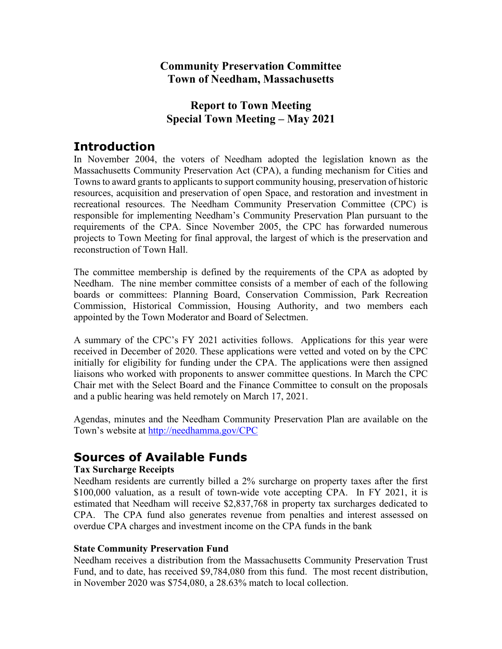## **Community Preservation Committee Town of Needham, Massachusetts**

## **Report to Town Meeting Special Town Meeting – May 2021**

## **Introduction**

In November 2004, the voters of Needham adopted the legislation known as the Massachusetts Community Preservation Act (CPA), a funding mechanism for Cities and Towns to award grants to applicants to support community housing, preservation of historic resources, acquisition and preservation of open Space, and restoration and investment in recreational resources. The Needham Community Preservation Committee (CPC) is responsible for implementing Needham's Community Preservation Plan pursuant to the requirements of the CPA. Since November 2005, the CPC has forwarded numerous projects to Town Meeting for final approval, the largest of which is the preservation and reconstruction of Town Hall.

The committee membership is defined by the requirements of the CPA as adopted by Needham. The nine member committee consists of a member of each of the following boards or committees: Planning Board, Conservation Commission, Park Recreation Commission, Historical Commission, Housing Authority, and two members each appointed by the Town Moderator and Board of Selectmen.

A summary of the CPC's FY 2021 activities follows. Applications for this year were received in December of 2020. These applications were vetted and voted on by the CPC initially for eligibility for funding under the CPA. The applications were then assigned liaisons who worked with proponents to answer committee questions. In March the CPC Chair met with the Select Board and the Finance Committee to consult on the proposals and a public hearing was held remotely on March 17, 2021.

Agendas, minutes and the Needham Community Preservation Plan are available on the Town's website at [http://needhamma.gov/C](http://needhamma.gov/)PC

# **Sources of Available Funds**

## **Tax Surcharge Receipts**

Needham residents are currently billed a 2% surcharge on property taxes after the first \$100,000 valuation, as a result of town-wide vote accepting CPA. In FY 2021, it is estimated that Needham will receive \$2,837,768 in property tax surcharges dedicated to CPA. The CPA fund also generates revenue from penalties and interest assessed on overdue CPA charges and investment income on the CPA funds in the bank

## **State Community Preservation Fund**

Needham receives a distribution from the Massachusetts Community Preservation Trust Fund, and to date, has received \$9,784,080 from this fund. The most recent distribution, in November 2020 was \$754,080, a 28.63% match to local collection.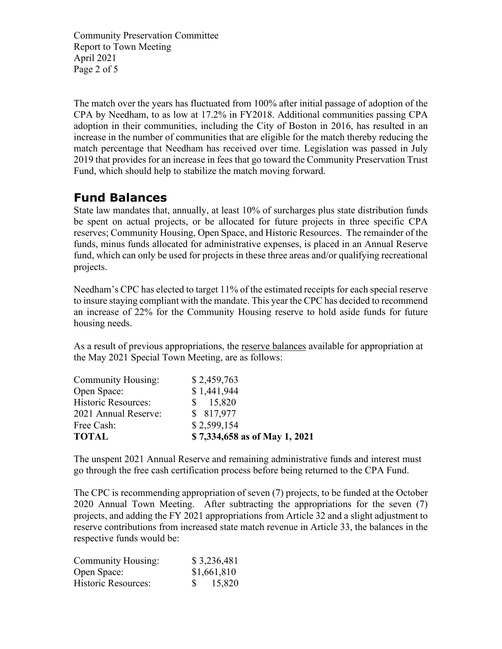Community Preservation Committee Report to Town Meeting April 2021 Page 2 of 5

The match over the years has fluctuated from 100% after initial passage of adoption of the CPA by Needham, to as low at 17.2% in FY2018. Additional communities passing CPA adoption in their communities, including the City of Boston in 2016, has resulted in an increase in the number of communities that are eligible for the match thereby reducing the match percentage that Needham has received over time. Legislation was passed in July 2019 that provides for an increase in fees that go toward the Community Preservation Trust Fund, which should help to stabilize the match moving forward.

# **Fund Balances**

State law mandates that, annually, at least 10% of surcharges plus state distribution funds be spent on actual projects, or be allocated for future projects in three specific CPA reserves; Community Housing, Open Space, and Historic Resources. The remainder of the funds, minus funds allocated for administrative expenses, is placed in an Annual Reserve fund, which can only be used for projects in these three areas and/or qualifying recreational projects.

Needham's CPC has elected to target 11% of the estimated receipts for each special reserve to insure staying compliant with the mandate. This year the CPC has decided to recommend an increase of 22% for the Community Housing reserve to hold aside funds for future housing needs.

As a result of previous appropriations, the reserve balances available for appropriation at the May 2021 Special Town Meeting, are as follows:

| <b>TOTAL</b>              | \$7,334,658 as of May 1, 2021 |
|---------------------------|-------------------------------|
| Free Cash:                | \$2,599,154                   |
| 2021 Annual Reserve:      | \$ 817,977                    |
| Historic Resources:       | \$15,820                      |
| Open Space:               | \$1,441,944                   |
| <b>Community Housing:</b> | \$2,459,763                   |

The unspent 2021 Annual Reserve and remaining administrative funds and interest must go through the free cash certification process before being returned to the CPA Fund.

The CPC is recommending appropriation of seven (7) projects, to be funded at the October 2020 Annual Town Meeting. After subtracting the appropriations for the seven (7) projects, and adding the FY 2021 appropriations from Article 32 and a slight adjustment to reserve contributions from increased state match revenue in Article 33, the balances in the respective funds would be:

| <b>Community Housing:</b>  | \$3,236,481 |
|----------------------------|-------------|
| Open Space:                | \$1,661,810 |
| <b>Historic Resources:</b> | 15,820      |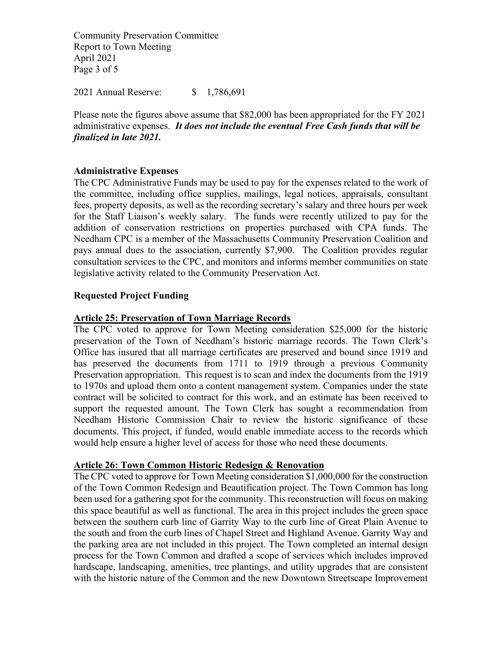Community Preservation Committee Report to Town Meeting April 2021 Page 3 of 5

2021 Annual Reserve: \$ 1,786,691

Please note the figures above assume that \$82,000 has been appropriated for the FY 2021 administrative expenses. *It does not include the eventual Free Cash funds that will be finalized in late 2021.*

### **Administrative Expenses**

The CPC Administrative Funds may be used to pay for the expenses related to the work of the committee, including office supplies, mailings, legal notices, appraisals, consultant fees, property deposits, as well as the recording secretary's salary and three hours per week for the Staff Liaison's weekly salary. The funds were recently utilized to pay for the addition of conservation restrictions on properties purchased with CPA funds. The Needham CPC is a member of the Massachusetts Community Preservation Coalition and pays annual dues to the association, currently \$7,900. The Coalition provides regular consultation services to the CPC, and monitors and informs member communities on state legislative activity related to the Community Preservation Act.

#### **Requested Project Funding**

#### **Article 25: Preservation of Town Marriage Records**

The CPC voted to approve for Town Meeting consideration \$25,000 for the historic preservation of the Town of Needham's historic marriage records. The Town Clerk's Office has insured that all marriage certificates are preserved and bound since 1919 and has preserved the documents from 1711 to 1919 through a previous Community Preservation appropriation. This request is to scan and index the documents from the 1919 to 1970s and upload them onto a content management system. Companies under the state contract will be solicited to contract for this work, and an estimate has been received to support the requested amount. The Town Clerk has sought a recommendation from Needham Historic Commission Chair to review the historic significance of these documents. This project, if funded, would enable immediate access to the records which would help ensure a higher level of access for those who need these documents.

#### **Article 26: Town Common Historic Redesign & Renovation**

The CPC voted to approve for Town Meeting consideration \$1,000,000 for the construction of the Town Common Redesign and Beautification project. The Town Common has long been used for a gathering spot for the community. This reconstruction will focus on making this space beautiful as well as functional. The area in this project includes the green space between the southern curb line of Garrity Way to the curb line of Great Plain Avenue to the south and from the curb lines of Chapel Street and Highland Avenue. Garrity Way and the parking area are not included in this project. The Town completed an internal design process for the Town Common and drafted a scope of services which includes improved hardscape, landscaping, amenities, tree plantings, and utility upgrades that are consistent with the historic nature of the Common and the new Downtown Streetscape Improvement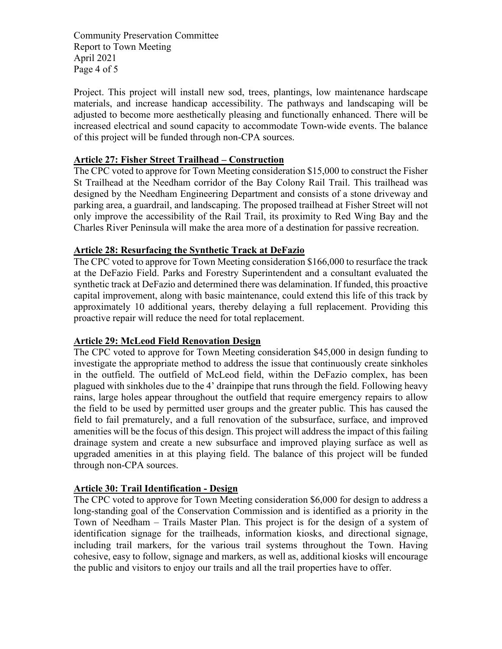Community Preservation Committee Report to Town Meeting April 2021 Page 4 of 5

Project. This project will install new sod, trees, plantings, low maintenance hardscape materials, and increase handicap accessibility. The pathways and landscaping will be adjusted to become more aesthetically pleasing and functionally enhanced. There will be increased electrical and sound capacity to accommodate Town-wide events. The balance of this project will be funded through non-CPA sources.

### **Article 27: Fisher Street Trailhead – Construction**

The CPC voted to approve for Town Meeting consideration \$15,000 to construct the Fisher St Trailhead at the Needham corridor of the Bay Colony Rail Trail. This trailhead was designed by the Needham Engineering Department and consists of a stone driveway and parking area, a guardrail, and landscaping. The proposed trailhead at Fisher Street will not only improve the accessibility of the Rail Trail, its proximity to Red Wing Bay and the Charles River Peninsula will make the area more of a destination for passive recreation.

### **Article 28: Resurfacing the Synthetic Track at DeFazio**

The CPC voted to approve for Town Meeting consideration \$166,000 to resurface the track at the DeFazio Field. Parks and Forestry Superintendent and a consultant evaluated the synthetic track at DeFazio and determined there was delamination. If funded, this proactive capital improvement, along with basic maintenance, could extend this life of this track by approximately 10 additional years, thereby delaying a full replacement. Providing this proactive repair will reduce the need for total replacement.

#### **Article 29: McLeod Field Renovation Design**

The CPC voted to approve for Town Meeting consideration \$45,000 in design funding to investigate the appropriate method to address the issue that continuously create sinkholes in the outfield. The outfield of McLeod field, within the DeFazio complex, has been plagued with sinkholes due to the 4' drainpipe that runs through the field. Following heavy rains, large holes appear throughout the outfield that require emergency repairs to allow the field to be used by permitted user groups and the greater public*.* This has caused the field to fail prematurely, and a full renovation of the subsurface, surface, and improved amenities will be the focus of this design. This project will address the impact of this failing drainage system and create a new subsurface and improved playing surface as well as upgraded amenities in at this playing field. The balance of this project will be funded through non-CPA sources.

## **Article 30: Trail Identification - Design**

The CPC voted to approve for Town Meeting consideration \$6,000 for design to address a long-standing goal of the Conservation Commission and is identified as a priority in the Town of Needham – Trails Master Plan. This project is for the design of a system of identification signage for the trailheads, information kiosks, and directional signage, including trail markers, for the various trail systems throughout the Town. Having cohesive, easy to follow, signage and markers, as well as, additional kiosks will encourage the public and visitors to enjoy our trails and all the trail properties have to offer.